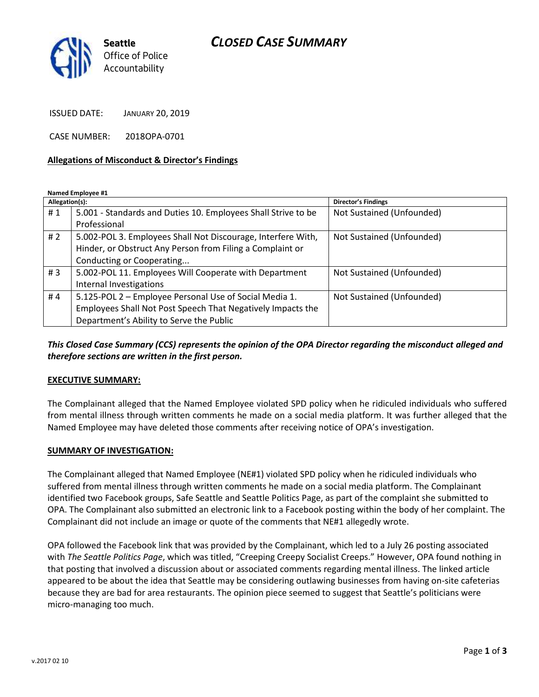## *CLOSED CASE SUMMARY*



ISSUED DATE: JANUARY 20, 2019

CASE NUMBER: 2018OPA-0701

#### **Allegations of Misconduct & Director's Findings**

**Named Employee #1**

| Allegation(s): |                                                               | <b>Director's Findings</b> |
|----------------|---------------------------------------------------------------|----------------------------|
| #1             | 5.001 - Standards and Duties 10. Employees Shall Strive to be | Not Sustained (Unfounded)  |
|                | Professional                                                  |                            |
| # 2            | 5.002-POL 3. Employees Shall Not Discourage, Interfere With,  | Not Sustained (Unfounded)  |
|                | Hinder, or Obstruct Any Person from Filing a Complaint or     |                            |
|                | Conducting or Cooperating                                     |                            |
| #3             | 5.002-POL 11. Employees Will Cooperate with Department        | Not Sustained (Unfounded)  |
|                | Internal Investigations                                       |                            |
| #4             | 5.125-POL 2 - Employee Personal Use of Social Media 1.        | Not Sustained (Unfounded)  |
|                | Employees Shall Not Post Speech That Negatively Impacts the   |                            |
|                | Department's Ability to Serve the Public                      |                            |

#### *This Closed Case Summary (CCS) represents the opinion of the OPA Director regarding the misconduct alleged and therefore sections are written in the first person.*

#### **EXECUTIVE SUMMARY:**

The Complainant alleged that the Named Employee violated SPD policy when he ridiculed individuals who suffered from mental illness through written comments he made on a social media platform. It was further alleged that the Named Employee may have deleted those comments after receiving notice of OPA's investigation.

#### **SUMMARY OF INVESTIGATION:**

The Complainant alleged that Named Employee (NE#1) violated SPD policy when he ridiculed individuals who suffered from mental illness through written comments he made on a social media platform. The Complainant identified two Facebook groups, Safe Seattle and Seattle Politics Page, as part of the complaint she submitted to OPA. The Complainant also submitted an electronic link to a Facebook posting within the body of her complaint. The Complainant did not include an image or quote of the comments that NE#1 allegedly wrote.

OPA followed the Facebook link that was provided by the Complainant, which led to a July 26 posting associated with *The Seattle Politics Page*, which was titled, "Creeping Creepy Socialist Creeps." However, OPA found nothing in that posting that involved a discussion about or associated comments regarding mental illness. The linked article appeared to be about the idea that Seattle may be considering outlawing businesses from having on-site cafeterias because they are bad for area restaurants. The opinion piece seemed to suggest that Seattle's politicians were micro-managing too much.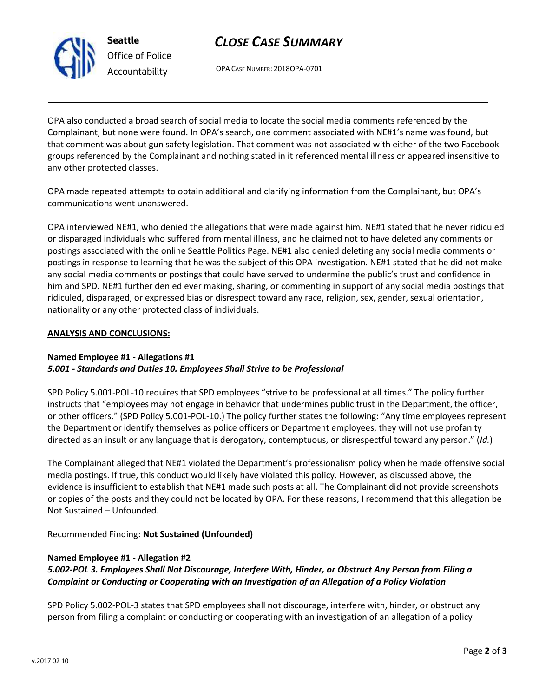

**Seattle** *Office of Police Accountability*

# *CLOSE CASE SUMMARY*

OPA CASE NUMBER: 2018OPA-0701

OPA also conducted a broad search of social media to locate the social media comments referenced by the Complainant, but none were found. In OPA's search, one comment associated with NE#1's name was found, but that comment was about gun safety legislation. That comment was not associated with either of the two Facebook groups referenced by the Complainant and nothing stated in it referenced mental illness or appeared insensitive to any other protected classes.

OPA made repeated attempts to obtain additional and clarifying information from the Complainant, but OPA's communications went unanswered.

OPA interviewed NE#1, who denied the allegations that were made against him. NE#1 stated that he never ridiculed or disparaged individuals who suffered from mental illness, and he claimed not to have deleted any comments or postings associated with the online Seattle Politics Page. NE#1 also denied deleting any social media comments or postings in response to learning that he was the subject of this OPA investigation. NE#1 stated that he did not make any social media comments or postings that could have served to undermine the public's trust and confidence in him and SPD. NE#1 further denied ever making, sharing, or commenting in support of any social media postings that ridiculed, disparaged, or expressed bias or disrespect toward any race, religion, sex, gender, sexual orientation, nationality or any other protected class of individuals.

#### **ANALYSIS AND CONCLUSIONS:**

### **Named Employee #1 - Allegations #1** *5.001 - Standards and Duties 10. Employees Shall Strive to be Professional*

SPD Policy 5.001-POL-10 requires that SPD employees "strive to be professional at all times." The policy further instructs that "employees may not engage in behavior that undermines public trust in the Department, the officer, or other officers." (SPD Policy 5.001-POL-10.) The policy further states the following: "Any time employees represent the Department or identify themselves as police officers or Department employees, they will not use profanity directed as an insult or any language that is derogatory, contemptuous, or disrespectful toward any person." (*Id.*)

The Complainant alleged that NE#1 violated the Department's professionalism policy when he made offensive social media postings. If true, this conduct would likely have violated this policy. However, as discussed above, the evidence is insufficient to establish that NE#1 made such posts at all. The Complainant did not provide screenshots or copies of the posts and they could not be located by OPA. For these reasons, I recommend that this allegation be Not Sustained – Unfounded.

Recommended Finding: **Not Sustained (Unfounded)**

### **Named Employee #1 - Allegation #2**

## *5.002-POL 3. Employees Shall Not Discourage, Interfere With, Hinder, or Obstruct Any Person from Filing a Complaint or Conducting or Cooperating with an Investigation of an Allegation of a Policy Violation*

SPD Policy 5.002-POL-3 states that SPD employees shall not discourage, interfere with, hinder, or obstruct any person from filing a complaint or conducting or cooperating with an investigation of an allegation of a policy